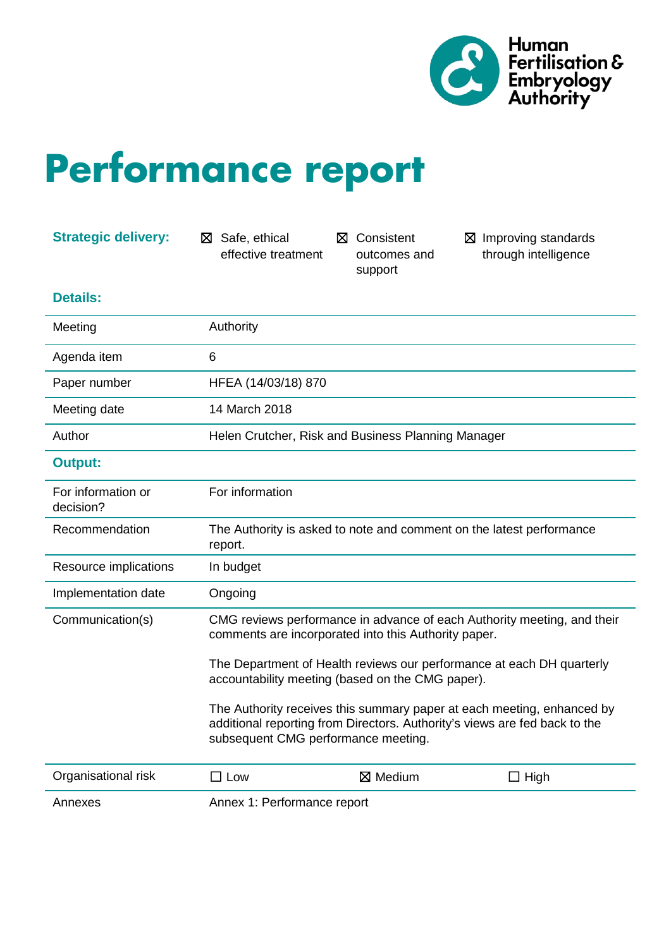

## **Performance report**

| <b>Strategic delivery:</b>      | Safe, ethical<br>⊠<br>effective treatment                                                                                                                                                                                                                                                                                                                                                                                                                   | ⊠ Consistent<br>outcomes and<br>support | $\boxtimes$ Improving standards<br>through intelligence |
|---------------------------------|-------------------------------------------------------------------------------------------------------------------------------------------------------------------------------------------------------------------------------------------------------------------------------------------------------------------------------------------------------------------------------------------------------------------------------------------------------------|-----------------------------------------|---------------------------------------------------------|
| <b>Details:</b>                 |                                                                                                                                                                                                                                                                                                                                                                                                                                                             |                                         |                                                         |
| Meeting                         | Authority                                                                                                                                                                                                                                                                                                                                                                                                                                                   |                                         |                                                         |
| Agenda item                     | 6                                                                                                                                                                                                                                                                                                                                                                                                                                                           |                                         |                                                         |
| Paper number                    | HFEA (14/03/18) 870                                                                                                                                                                                                                                                                                                                                                                                                                                         |                                         |                                                         |
| Meeting date                    | 14 March 2018                                                                                                                                                                                                                                                                                                                                                                                                                                               |                                         |                                                         |
| Author                          | Helen Crutcher, Risk and Business Planning Manager                                                                                                                                                                                                                                                                                                                                                                                                          |                                         |                                                         |
| <b>Output:</b>                  |                                                                                                                                                                                                                                                                                                                                                                                                                                                             |                                         |                                                         |
| For information or<br>decision? | For information                                                                                                                                                                                                                                                                                                                                                                                                                                             |                                         |                                                         |
| Recommendation                  | The Authority is asked to note and comment on the latest performance<br>report.                                                                                                                                                                                                                                                                                                                                                                             |                                         |                                                         |
| Resource implications           | In budget                                                                                                                                                                                                                                                                                                                                                                                                                                                   |                                         |                                                         |
| Implementation date             | Ongoing                                                                                                                                                                                                                                                                                                                                                                                                                                                     |                                         |                                                         |
| Communication(s)                | CMG reviews performance in advance of each Authority meeting, and their<br>comments are incorporated into this Authority paper.<br>The Department of Health reviews our performance at each DH quarterly<br>accountability meeting (based on the CMG paper).<br>The Authority receives this summary paper at each meeting, enhanced by<br>additional reporting from Directors. Authority's views are fed back to the<br>subsequent CMG performance meeting. |                                         |                                                         |
|                                 |                                                                                                                                                                                                                                                                                                                                                                                                                                                             |                                         |                                                         |
|                                 |                                                                                                                                                                                                                                                                                                                                                                                                                                                             |                                         |                                                         |
| Organisational risk             | $\Box$ Low                                                                                                                                                                                                                                                                                                                                                                                                                                                  | $\boxtimes$ Medium                      | $\Box$ High                                             |
| Annexes                         | Annex 1: Performance report                                                                                                                                                                                                                                                                                                                                                                                                                                 |                                         |                                                         |